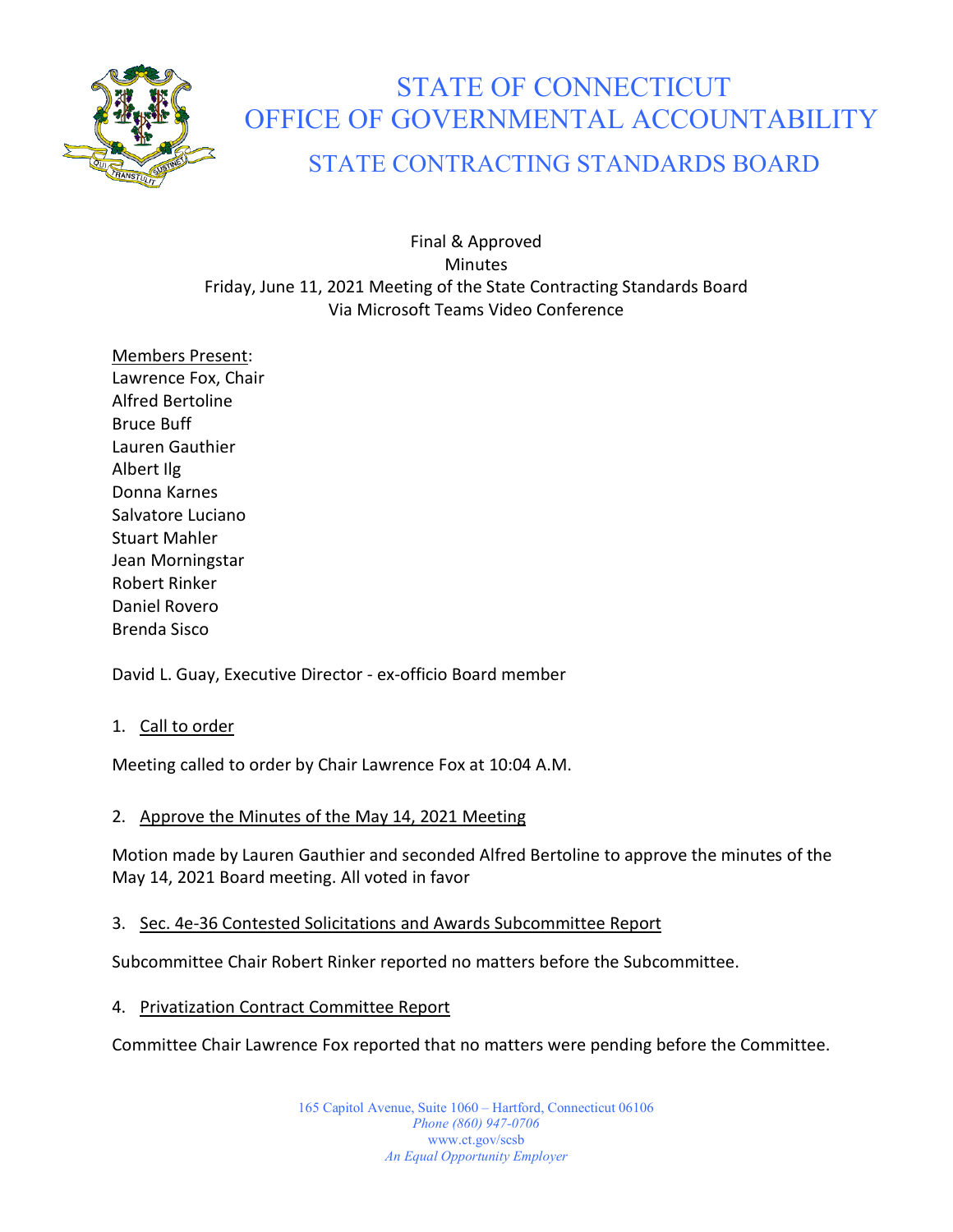

# STATE OF CONNECTICUT OFFICE OF GOVERNMENTAL ACCOUNTABILITY

# STATE CONTRACTING STANDARDS BOARD

Final & Approved **Minutes** Friday, June 11, 2021 Meeting of the State Contracting Standards Board Via Microsoft Teams Video Conference

Members Present: Lawrence Fox, Chair Alfred Bertoline Bruce Buff Lauren Gauthier Albert Ilg Donna Karnes Salvatore Luciano Stuart Mahler Jean Morningstar Robert Rinker Daniel Rovero Brenda Sisco

David L. Guay, Executive Director - ex-officio Board member

1. Call to order

Meeting called to order by Chair Lawrence Fox at 10:04 A.M.

# 2. Approve the Minutes of the May 14, 2021 Meeting

Motion made by Lauren Gauthier and seconded Alfred Bertoline to approve the minutes of the May 14, 2021 Board meeting. All voted in favor

## 3. Sec. 4e-36 Contested Solicitations and Awards Subcommittee Report

Subcommittee Chair Robert Rinker reported no matters before the Subcommittee.

## 4. Privatization Contract Committee Report

Committee Chair Lawrence Fox reported that no matters were pending before the Committee.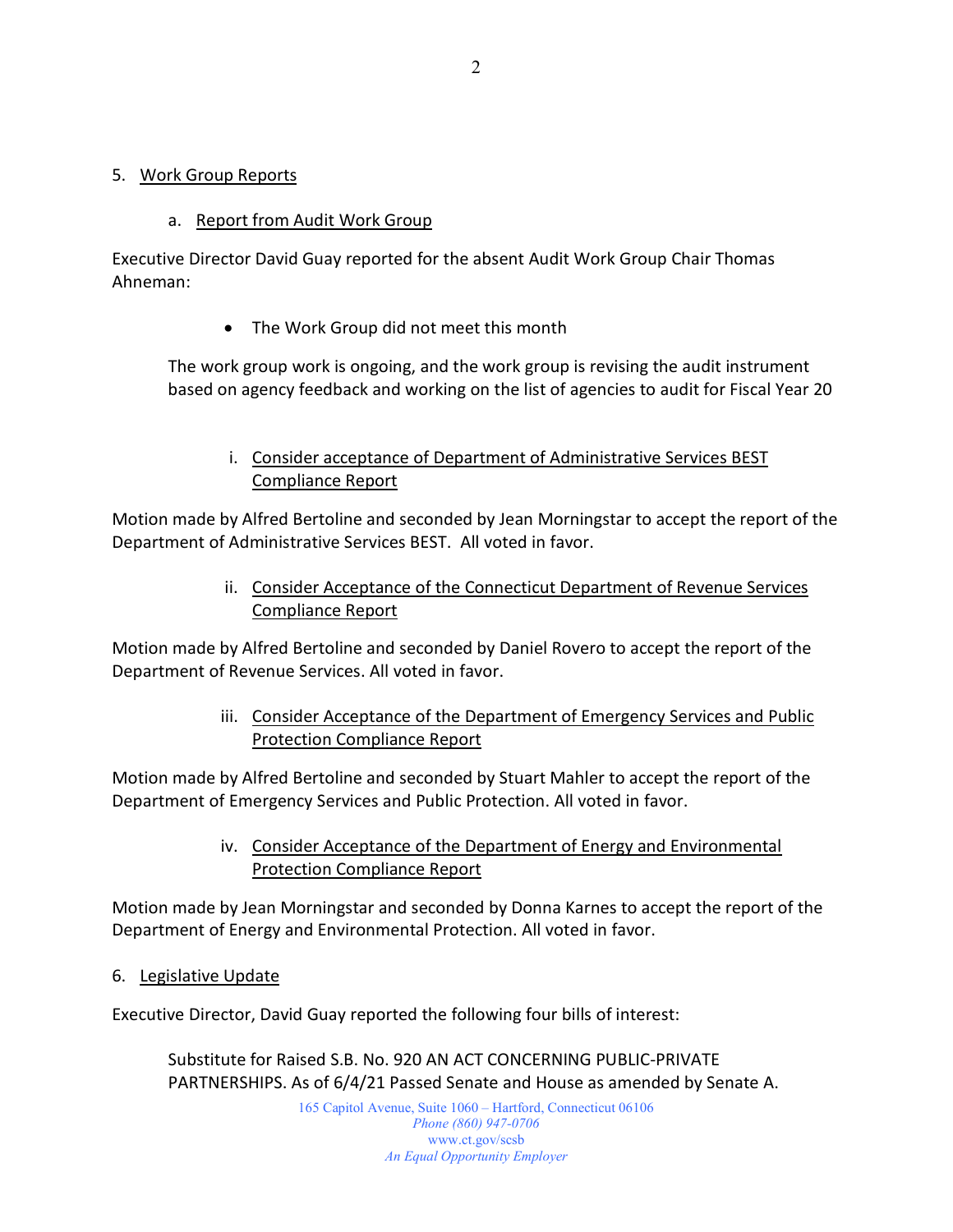#### 5. Work Group Reports

#### a. Report from Audit Work Group

Executive Director David Guay reported for the absent Audit Work Group Chair Thomas Ahneman:

• The Work Group did not meet this month

The work group work is ongoing, and the work group is revising the audit instrument based on agency feedback and working on the list of agencies to audit for Fiscal Year 20

i. Consider acceptance of Department of Administrative Services BEST Compliance Report

Motion made by Alfred Bertoline and seconded by Jean Morningstar to accept the report of the Department of Administrative Services BEST. All voted in favor.

> ii. Consider Acceptance of the Connecticut Department of Revenue Services Compliance Report

Motion made by Alfred Bertoline and seconded by Daniel Rovero to accept the report of the Department of Revenue Services. All voted in favor.

> iii. Consider Acceptance of the Department of Emergency Services and Public Protection Compliance Report

Motion made by Alfred Bertoline and seconded by Stuart Mahler to accept the report of the Department of Emergency Services and Public Protection. All voted in favor.

> iv. Consider Acceptance of the Department of Energy and Environmental Protection Compliance Report

Motion made by Jean Morningstar and seconded by Donna Karnes to accept the report of the Department of Energy and Environmental Protection. All voted in favor.

6. Legislative Update

Executive Director, David Guay reported the following four bills of interest:

Substitute for Raised S.B. No. 920 AN ACT CONCERNING PUBLIC-PRIVATE PARTNERSHIPS. As of 6/4/21 Passed Senate and House as amended by Senate A.

> 165 Capitol Avenue, Suite 1060 – Hartford, Connecticut 06106 *Phone (860) 947-0706*  www.ct.gov/scsb *An Equal Opportunity Employer*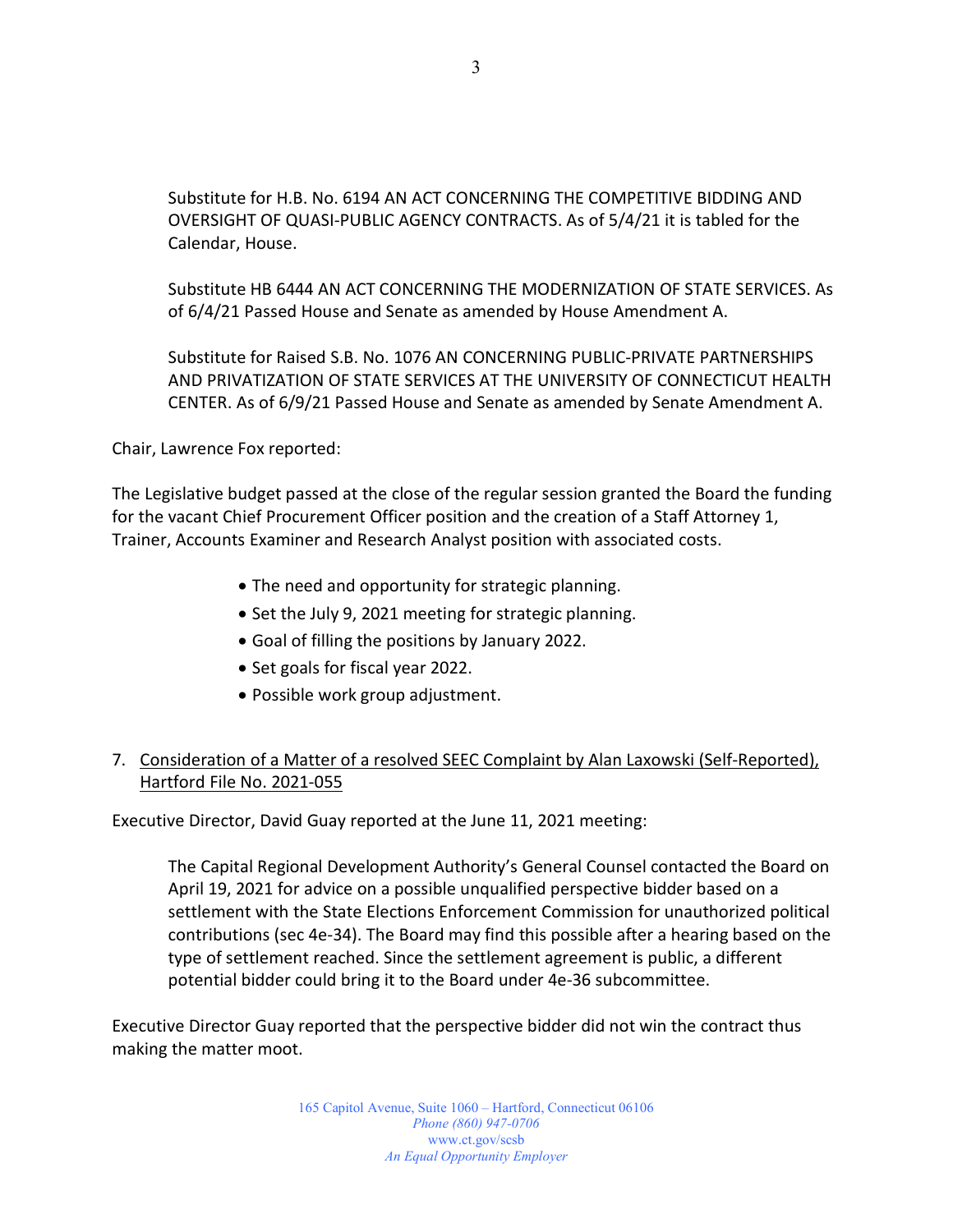Substitute for H.B. No. 6194 AN ACT CONCERNING THE COMPETITIVE BIDDING AND OVERSIGHT OF QUASI-PUBLIC AGENCY CONTRACTS. As of 5/4/21 it is tabled for the Calendar, House.

Substitute HB 6444 AN ACT CONCERNING THE MODERNIZATION OF STATE SERVICES. As of 6/4/21 Passed House and Senate as amended by House Amendment A.

Substitute for Raised S.B. No. 1076 AN CONCERNING PUBLIC-PRIVATE PARTNERSHIPS AND PRIVATIZATION OF STATE SERVICES AT THE UNIVERSITY OF CONNECTICUT HEALTH CENTER. As of 6/9/21 Passed House and Senate as amended by Senate Amendment A.

Chair, Lawrence Fox reported:

The Legislative budget passed at the close of the regular session granted the Board the funding for the vacant Chief Procurement Officer position and the creation of a Staff Attorney 1, Trainer, Accounts Examiner and Research Analyst position with associated costs.

- The need and opportunity for strategic planning.
- Set the July 9, 2021 meeting for strategic planning.
- Goal of filling the positions by January 2022.
- Set goals for fiscal year 2022.
- Possible work group adjustment.

# 7. Consideration of a Matter of a resolved SEEC Complaint by Alan Laxowski (Self-Reported), Hartford File No. 2021-055

Executive Director, David Guay reported at the June 11, 2021 meeting:

The Capital Regional Development Authority's General Counsel contacted the Board on April 19, 2021 for advice on a possible unqualified perspective bidder based on a settlement with the State Elections Enforcement Commission for unauthorized political contributions (sec 4e-34). The Board may find this possible after a hearing based on the type of settlement reached. Since the settlement agreement is public, a different potential bidder could bring it to the Board under 4e-36 subcommittee.

Executive Director Guay reported that the perspective bidder did not win the contract thus making the matter moot.

> 165 Capitol Avenue, Suite 1060 – Hartford, Connecticut 06106 *Phone (860) 947-0706*  www.ct.gov/scsb *An Equal Opportunity Employer*